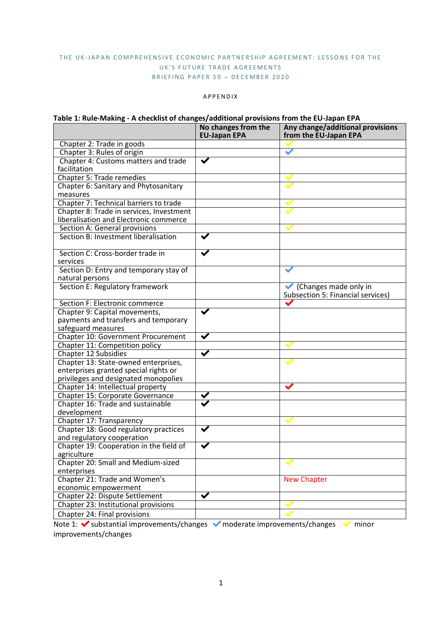## THE UK-JAPAN COMPREHENSIVE ECONOMIC PARTNERSHIP AGREEMENT: LESSONS FOR THE UK'S FUTURE TRADE AGREEMENTS BRIEFING PAPER 50 - DECEMBER 2020

## A P P E N D I X

## **Table 1: Rule-Making - A checklist of changes/additional provisions from the EU-Japan EPA**

|                                                                                     | No changes from the<br><b>EU-Japan EPA</b> | Any change/additional provisions<br>from the EU-Japan EPA |  |  |  |  |  |
|-------------------------------------------------------------------------------------|--------------------------------------------|-----------------------------------------------------------|--|--|--|--|--|
| Chapter 2: Trade in goods                                                           |                                            |                                                           |  |  |  |  |  |
| Chapter 3: Rules of origin                                                          |                                            | $\checkmark$                                              |  |  |  |  |  |
| Chapter 4: Customs matters and trade                                                | $\checkmark$                               |                                                           |  |  |  |  |  |
| facilitation                                                                        |                                            |                                                           |  |  |  |  |  |
| Chapter 5: Trade remedies                                                           |                                            |                                                           |  |  |  |  |  |
| Chapter 6: Sanitary and Phytosanitary                                               |                                            |                                                           |  |  |  |  |  |
| measures                                                                            |                                            |                                                           |  |  |  |  |  |
| Chapter 7: Technical barriers to trade                                              |                                            |                                                           |  |  |  |  |  |
| Chapter 8: Trade in services, Investment                                            |                                            |                                                           |  |  |  |  |  |
| liberalisation and Electronic commerce                                              |                                            |                                                           |  |  |  |  |  |
| Section A: General provisions                                                       |                                            |                                                           |  |  |  |  |  |
| Section B: Investment liberalisation                                                | ✔                                          |                                                           |  |  |  |  |  |
|                                                                                     |                                            |                                                           |  |  |  |  |  |
| Section C: Cross-border trade in                                                    |                                            |                                                           |  |  |  |  |  |
| services                                                                            |                                            |                                                           |  |  |  |  |  |
| Section D: Entry and temporary stay of                                              |                                            |                                                           |  |  |  |  |  |
| natural persons                                                                     |                                            |                                                           |  |  |  |  |  |
| Section E: Regulatory framework                                                     |                                            | $\blacktriangleright$ (Changes made only in               |  |  |  |  |  |
|                                                                                     |                                            | Subsection 5: Financial services)                         |  |  |  |  |  |
| Section F: Electronic commerce                                                      |                                            |                                                           |  |  |  |  |  |
| Chapter 9: Capital movements,                                                       | $\blacktriangledown$                       |                                                           |  |  |  |  |  |
| payments and transfers and temporary                                                |                                            |                                                           |  |  |  |  |  |
| safeguard measures                                                                  |                                            |                                                           |  |  |  |  |  |
| Chapter 10: Government Procurement                                                  | $\checkmark$                               |                                                           |  |  |  |  |  |
| Chapter 11: Competition policy                                                      |                                            |                                                           |  |  |  |  |  |
| Chapter 12 Subsidies                                                                | $\blacktriangledown$                       |                                                           |  |  |  |  |  |
| Chapter 13: State-owned enterprises,                                                |                                            |                                                           |  |  |  |  |  |
| enterprises granted special rights or                                               |                                            |                                                           |  |  |  |  |  |
| privileges and designated monopolies                                                |                                            |                                                           |  |  |  |  |  |
| Chapter 14: Intellectual property                                                   |                                            |                                                           |  |  |  |  |  |
| Chapter 15: Corporate Governance                                                    | $\checkmark$                               |                                                           |  |  |  |  |  |
| Chapter 16: Trade and sustainable                                                   |                                            |                                                           |  |  |  |  |  |
| development                                                                         |                                            |                                                           |  |  |  |  |  |
| Chapter 17: Transparency                                                            |                                            |                                                           |  |  |  |  |  |
| Chapter 18: Good regulatory practices                                               | $\checkmark$                               |                                                           |  |  |  |  |  |
| and regulatory cooperation                                                          |                                            |                                                           |  |  |  |  |  |
| Chapter 19: Cooperation in the field of                                             |                                            |                                                           |  |  |  |  |  |
| agriculture                                                                         |                                            |                                                           |  |  |  |  |  |
| Chapter 20: Small and Medium-sized                                                  |                                            |                                                           |  |  |  |  |  |
| enterprises                                                                         |                                            |                                                           |  |  |  |  |  |
| Chapter 21: Trade and Women's                                                       |                                            | <b>New Chapter</b>                                        |  |  |  |  |  |
| economic empowerment                                                                |                                            |                                                           |  |  |  |  |  |
| Chapter 22: Dispute Settlement                                                      |                                            |                                                           |  |  |  |  |  |
| Chapter 23: Institutional provisions                                                |                                            |                                                           |  |  |  |  |  |
| Chapter 24: Final provisions                                                        |                                            |                                                           |  |  |  |  |  |
| Note 1: V substantial improvements/changes V moderate improvements/changes<br>minor |                                            |                                                           |  |  |  |  |  |

improvements/changes